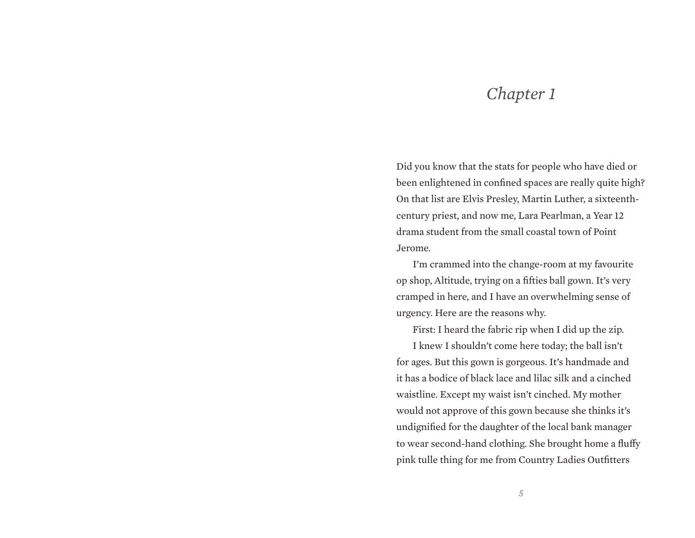## *Chapter 1*

Did you know that the stats for people who have died or been enlightened in confined spaces are really quite high? On that list are Elvis Presley, Martin Luther, a sixteenthcentury priest, and now me, Lara Pearlman, a Year 12 drama student from the small coastal town of Point Jerome.

I'm crammed into the change-room at my favourite op shop, Altitude, trying on a fifties ball gown. It's very cramped in here, and I have an overwhelming sense of urgency. Here are the reasons why.

First: I heard the fabric rip when I did up the zip. I knew I shouldn't come here today; the ball isn't for ages. But this gown is gorgeous. It's handmade and it has a bodice of black lace and lilac silk and a cinched waistline. Except my waist isn't cinched. My mother would not approve of this gown because she thinks it's undignified for the daughter of the local bank manager to wear second-hand clothing. She brought home a fluffy pink tulle thing for me from Country Ladies Outfitters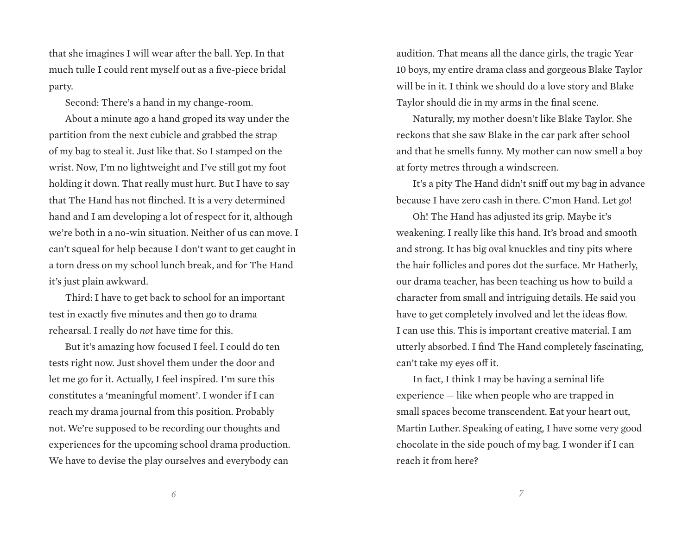that she imagines I will wear after the ball. Yep. In that much tulle I could rent myself out as a five-piece bridal party.

Second: There's a hand in my change-room.

About a minute ago a hand groped its way under the partition from the next cubicle and grabbed the strap of my bag to steal it. Just like that. So I stamped on the wrist. Now, I'm no lightweight and I've still got my foot holding it down. That really must hurt. But I have to say that The Hand has not flinched. It is a very determined hand and I am developing a lot of respect for it, although we're both in a no-win situation. Neither of us can move. I can't squeal for help because I don't want to get caught in a torn dress on my school lunch break, and for The Hand it's just plain awkward.

Third: I have to get back to school for an important test in exactly five minutes and then go to drama rehearsal. I really do *not* have time for this.

But it's amazing how focused I feel. I could do ten tests right now. Just shovel them under the door and let me go for it. Actually, I feel inspired. I'm sure this constitutes a 'meaningful moment'. I wonder if I can reach my drama journal from this position. Probably not. We're supposed to be recording our thoughts and experiences for the upcoming school drama production. We have to devise the play ourselves and everybody can

audition. That means all the dance girls, the tragic Year 10 boys, my entire drama class and gorgeous Blake Taylor will be in it. I think we should do a love story and Blake Taylor should die in my arms in the final scene.

Naturally, my mother doesn't like Blake Taylor. She reckons that she saw Blake in the car park after school and that he smells funny. My mother can now smell a boy at forty metres through a windscreen.

It's a pity The Hand didn't sniff out my bag in advance because I have zero cash in there. C'mon Hand. Let go!

Oh! The Hand has adjusted its grip. Maybe it's weakening. I really like this hand. It's broad and smooth and strong. It has big oval knuckles and tiny pits where the hair follicles and pores dot the surface. Mr Hatherly, our drama teacher, has been teaching us how to build a character from small and intriguing details. He said you have to get completely involved and let the ideas flow. I can use this. This is important creative material. I am utterly absorbed. I find The Hand completely fascinating, can't take my eyes off it.

In fact, I think I may be having a seminal life experience — like when people who are trapped in small spaces become transcendent. Eat your heart out, Martin Luther. Speaking of eating, I have some very good chocolate in the side pouch of my bag. I wonder if I can reach it from here?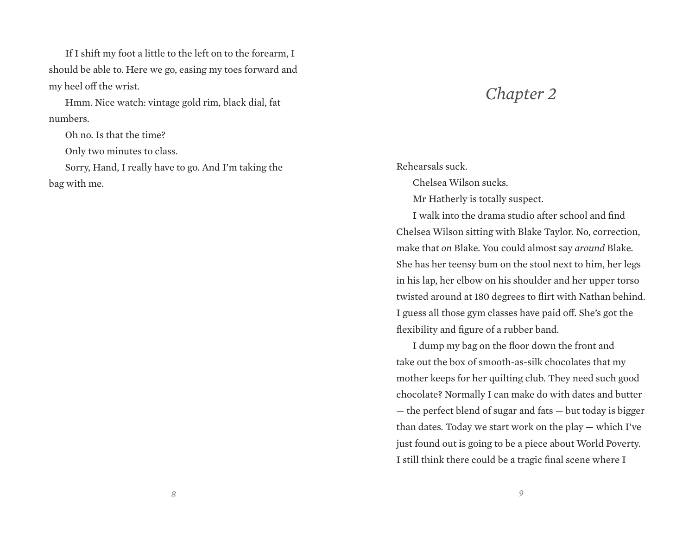If I shift my foot a little to the left on to the forearm, I should be able to. Here we go, easing my toes forward and my heel off the wrist.

Hmm. Nice watch: vintage gold rim, black dial, fat numbers.

Oh no. Is that the time?

Only two minutes to class.

Sorry, Hand, I really have to go. And I'm taking the bag with me.

## *Chapter 2*

## Rehearsals suck.

Chelsea Wilson sucks.

Mr Hatherly is totally suspect.

I walk into the drama studio after school and find Chelsea Wilson sitting with Blake Taylor. No, correction, make that *on* Blake. You could almost say *around* Blake. She has her teensy bum on the stool next to him, her legs in his lap, her elbow on his shoulder and her upper torso twisted around at 180 degrees to flirt with Nathan behind. I guess all those gym classes have paid off. She's got the flexibility and figure of a rubber band.

I dump my bag on the floor down the front and take out the box of smooth-as-silk chocolates that my mother keeps for her quilting club. They need such good chocolate? Normally I can make do with dates and butter — the perfect blend of sugar and fats — but today is bigger than dates. Today we start work on the play — which I've just found out is going to be a piece about World Poverty. I still think there could be a tragic final scene where I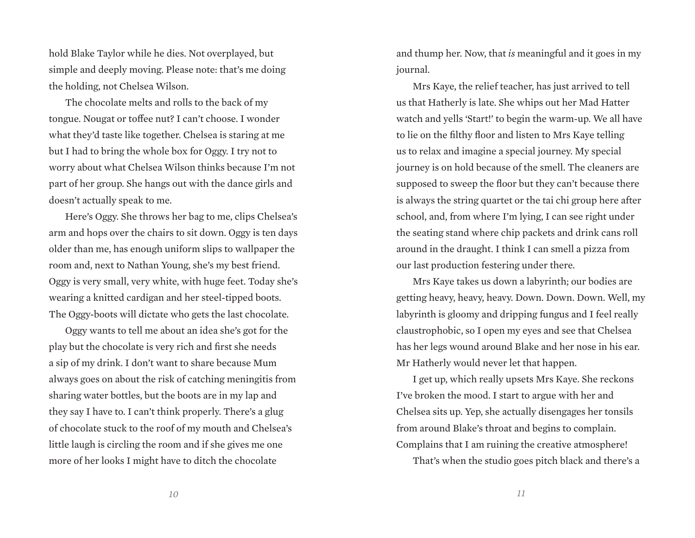hold Blake Taylor while he dies. Not overplayed, but simple and deeply moving. Please note: that's me doing the holding, not Chelsea Wilson.

The chocolate melts and rolls to the back of my tongue. Nougat or toffee nut? I can't choose. I wonder what they'd taste like together. Chelsea is staring at me but I had to bring the whole box for Oggy. I try not to worry about what Chelsea Wilson thinks because I'm not part of her group. She hangs out with the dance girls and doesn't actually speak to me.

Here's Oggy. She throws her bag to me, clips Chelsea's arm and hops over the chairs to sit down. Oggy is ten days older than me, has enough uniform slips to wallpaper the room and, next to Nathan Young, she's my best friend. Oggy is very small, very white, with huge feet. Today she's wearing a knitted cardigan and her steel-tipped boots. The Oggy-boots will dictate who gets the last chocolate.

Oggy wants to tell me about an idea she's got for the play but the chocolate is very rich and first she needs a sip of my drink. I don't want to share because Mum always goes on about the risk of catching meningitis from sharing water bottles, but the boots are in my lap and they say I have to. I can't think properly. There's a glug of chocolate stuck to the roof of my mouth and Chelsea's little laugh is circling the room and if she gives me one more of her looks I might have to ditch the chocolate

and thump her. Now, that *is* meaningful and it goes in my iournal.

Mrs Kaye, the relief teacher, has just arrived to tell us that Hatherly is late. She whips out her Mad Hatter watch and yells 'Start!' to begin the warm-up. We all have to lie on the filthy floor and listen to Mrs Kaye telling us to relax and imagine a special journey. My special journey is on hold because of the smell. The cleaners are supposed to sweep the floor but they can't because there is always the string quartet or the tai chi group here after school, and, from where I'm lying, I can see right under the seating stand where chip packets and drink cans roll around in the draught. I think I can smell a pizza from our last production festering under there.

Mrs Kaye takes us down a labyrinth; our bodies are getting heavy, heavy, heavy. Down. Down. Down. Well, my labyrinth is gloomy and dripping fungus and I feel really claustrophobic, so I open my eyes and see that Chelsea has her legs wound around Blake and her nose in his ear. Mr Hatherly would never let that happen.

I get up, which really upsets Mrs Kaye. She reckons I've broken the mood. I start to argue with her and Chelsea sits up. Yep, she actually disengages her tonsils from around Blake's throat and begins to complain. Complains that I am ruining the creative atmosphere! That's when the studio goes pitch black and there's a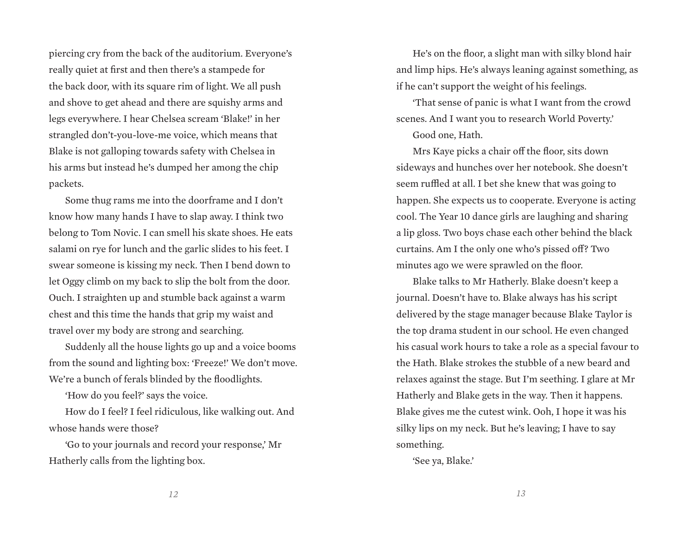piercing cry from the back of the auditorium. Everyone's really quiet at first and then there's a stampede for the back door, with its square rim of light. We all push and shove to get ahead and there are squishy arms and legs everywhere. I hear Chelsea scream 'Blake!' in her strangled don't-you-love-me voice, which means that Blake is not galloping towards safety with Chelsea in his arms but instead he's dumped her among the chip packets.

Some thug rams me into the doorframe and I don't know how many hands I have to slap away. I think two belong to Tom Novic. I can smell his skate shoes. He eats salami on rye for lunch and the garlic slides to his feet. I swear someone is kissing my neck. Then I bend down to let Oggy climb on my back to slip the bolt from the door. Ouch. I straighten up and stumble back against a warm chest and this time the hands that grip my waist and travel over my body are strong and searching.

Suddenly all the house lights go up and a voice booms from the sound and lighting box: 'Freeze!' We don't move. We're a bunch of ferals blinded by the floodlights.

'How do you feel?' says the voice.

How do I feel? I feel ridiculous, like walking out. And whose hands were those?

'Go to your journals and record your response,' Mr Hatherly calls from the lighting box.

He's on the floor, a slight man with silky blond hair and limp hips. He's always leaning against something, as if he can't support the weight of his feelings.

'That sense of panic is what I want from the crowd scenes. And I want you to research World Poverty.'

Good one, Hath.

Mrs Kaye picks a chair off the floor, sits down sideways and hunches over her notebook. She doesn't seem ruffled at all. I bet she knew that was going to happen. She expects us to cooperate. Everyone is acting cool. The Year 10 dance girls are laughing and sharing a lip gloss. Two boys chase each other behind the black curtains. Am I the only one who's pissed off? Two minutes ago we were sprawled on the floor.

Blake talks to Mr Hatherly. Blake doesn't keep a journal. Doesn't have to. Blake always has his script delivered by the stage manager because Blake Taylor is the top drama student in our school. He even changed his casual work hours to take a role as a special favour to the Hath. Blake strokes the stubble of a new beard and relaxes against the stage. But I'm seething. I glare at Mr Hatherly and Blake gets in the way. Then it happens. Blake gives me the cutest wink. Ooh, I hope it was his silky lips on my neck. But he's leaving; I have to say something.

'See ya, Blake.'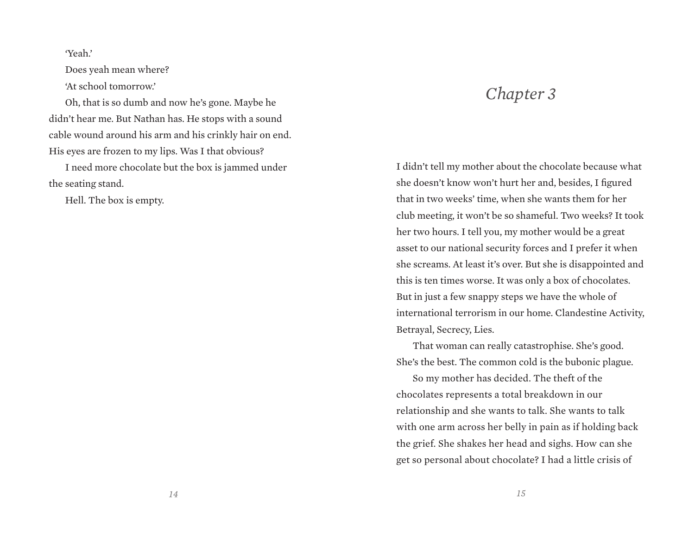'Yeah.'

Does yeah mean where? 'At school tomorrow.'

Oh, that is so dumb and now he's gone. Maybe he didn't hear me. But Nathan has. He stops with a sound cable wound around his arm and his crinkly hair on end. His eyes are frozen to my lips. Was I that obvious?

I need more chocolate but the box is jammed under the seating stand.

Hell. The box is empty.

## *Chapter 3*

I didn't tell my mother about the chocolate because what she doesn't know won't hurt her and, besides, I figured that in two weeks' time, when she wants them for her club meeting, it won't be so shameful. Two weeks? It took her two hours. I tell you, my mother would be a great asset to our national security forces and I prefer it when she screams. At least it's over. But she is disappointed and this is ten times worse. It was only a box of chocolates. But in just a few snappy steps we have the whole of international terrorism in our home. Clandestine Activity, Betrayal, Secrecy, Lies.

That woman can really catastrophise. She's good. She's the best. The common cold is the bubonic plague.

So my mother has decided. The theft of the chocolates represents a total breakdown in our relationship and she wants to talk. She wants to talk with one arm across her belly in pain as if holding back the grief. She shakes her head and sighs. How can she get so personal about chocolate? I had a little crisis of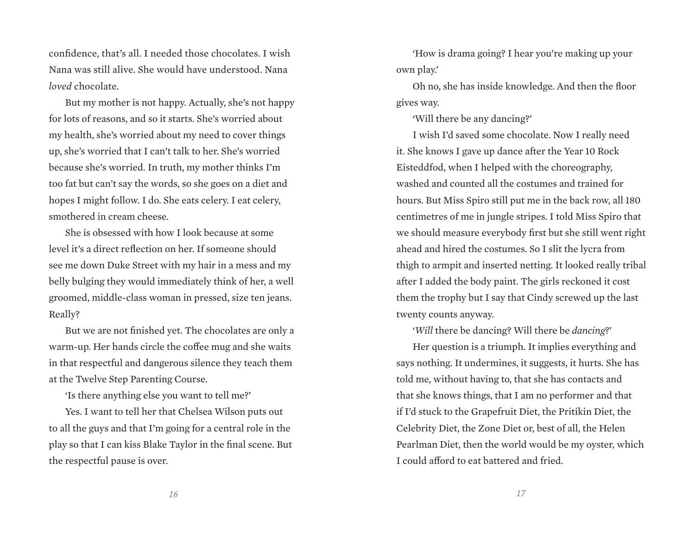confidence, that's all. I needed those chocolates. I wish Nana was still alive. She would have understood. Nana *loved* chocolate.

But my mother is not happy. Actually, she's not happy for lots of reasons, and so it starts. She's worried about my health, she's worried about my need to cover things up, she's worried that I can't talk to her. She's worried because she's worried. In truth, my mother thinks I'm too fat but can't say the words, so she goes on a diet and hopes I might follow. I do. She eats celery. I eat celery, smothered in cream cheese.

She is obsessed with how I look because at some level it's a direct reflection on her. If someone should see me down Duke Street with my hair in a mess and my belly bulging they would immediately think of her, a well groomed, middle-class woman in pressed, size ten jeans. Really?

But we are not finished yet. The chocolates are only a warm-up. Her hands circle the coffee mug and she waits in that respectful and dangerous silence they teach them at the Twelve Step Parenting Course.

'Is there anything else you want to tell me?'

Yes. I want to tell her that Chelsea Wilson puts out to all the guys and that I'm going for a central role in the play so that I can kiss Blake Taylor in the final scene. But the respectful pause is over.

'How is drama going? I hear you're making up your own play.'

Oh no, she has inside knowledge. And then the floor gives way.

'Will there be any dancing?'

I wish I'd saved some chocolate. Now I really need it. She knows I gave up dance after the Year 10 Rock Eisteddfod, when I helped with the choreography, washed and counted all the costumes and trained for hours. But Miss Spiro still put me in the back row, all 180 centimetres of me in jungle stripes. I told Miss Spiro that we should measure everybody first but she still went right ahead and hired the costumes. So I slit the lycra from thigh to armpit and inserted netting. It looked really tribal after I added the body paint. The girls reckoned it cost them the trophy but I say that Cindy screwed up the last twenty counts anyway.

'*Will* there be dancing? Will there be *dancing*?'

Her question is a triumph. It implies everything and says nothing. It undermines, it suggests, it hurts. She has told me, without having to, that she has contacts and that she knows things, that I am no performer and that if I'd stuck to the Grapefruit Diet, the Pritikin Diet, the Celebrity Diet, the Zone Diet or, best of all, the Helen Pearlman Diet, then the world would be my oyster, which I could afford to eat battered and fried.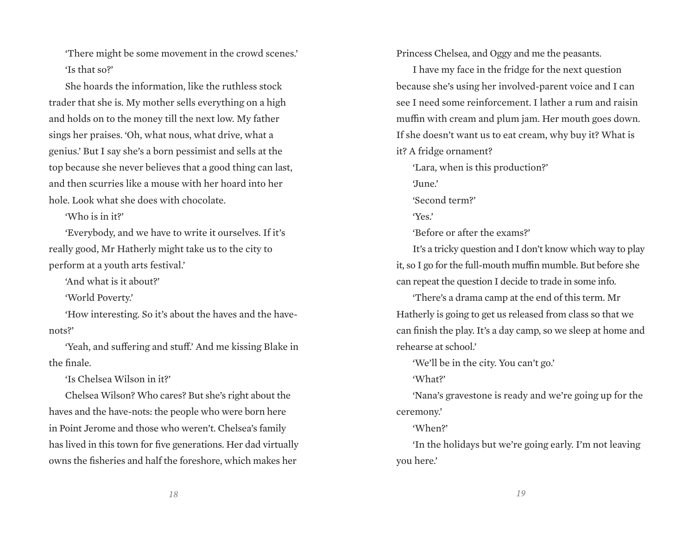'There might be some movement in the crowd scenes.' 'Is that so?'

She hoards the information, like the ruthless stock trader that she is. My mother sells everything on a high and holds on to the money till the next low. My father sings her praises. 'Oh, what nous, what drive, what a genius.' But I say she's a born pessimist and sells at the top because she never believes that a good thing can last, and then scurries like a mouse with her hoard into her hole. Look what she does with chocolate.

'Who is in it?'

'Everybody, and we have to write it ourselves. If it's really good, Mr Hatherly might take us to the city to perform at a youth arts festival.'

'And what is it about?'

'World Poverty.'

'How interesting. So it's about the haves and the havenots?'

'Yeah, and suffering and stuff.' And me kissing Blake in the finale.

'Is Chelsea Wilson in it?'

Chelsea Wilson? Who cares? But she's right about the haves and the have-nots: the people who were born here in Point Jerome and those who weren't. Chelsea's family has lived in this town for five generations. Her dad virtually owns the fisheries and half the foreshore, which makes her

Princess Chelsea, and Oggy and me the peasants.

I have my face in the fridge for the next question because she's using her involved-parent voice and I can see I need some reinforcement. I lather a rum and raisin muffin with cream and plum jam. Her mouth goes down. If she doesn't want us to eat cream, why buy it? What is it? A fridge ornament?

'Lara, when is this production?'

'June.'

'Second term?'

'Yes.'

'Before or after the exams?'

It's a tricky question and I don't know which way to play it, so I go for the full-mouth muffin mumble. But before she can repeat the question I decide to trade in some info.

'There's a drama camp at the end of this term. Mr Hatherly is going to get us released from class so that we can finish the play. It's a day camp, so we sleep at home and rehearse at school.'

'We'll be in the city. You can't go.'

'What?'

'Nana's gravestone is ready and we're going up for the ceremony.'

'When?'

'In the holidays but we're going early. I'm not leaving you here.'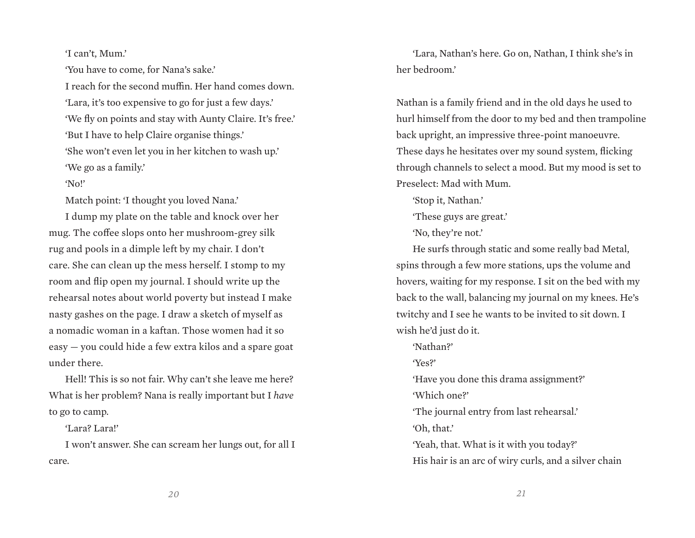'I can't, Mum.'

'You have to come, for Nana's sake.'

I reach for the second muffin. Her hand comes down. 'Lara, it's too expensive to go for just a few days.' 'We fly on points and stay with Aunty Claire. It's free.' 'But I have to help Claire organise things.' 'She won't even let you in her kitchen to wash up.' 'We go as a family.'

'No!'

Match point: 'I thought you loved Nana.'

I dump my plate on the table and knock over her mug. The coffee slops onto her mushroom-grey silk rug and pools in a dimple left by my chair. I don't care. She can clean up the mess herself. I stomp to my room and flip open my journal. I should write up the rehearsal notes about world poverty but instead I make nasty gashes on the page. I draw a sketch of myself as a nomadic woman in a kaftan. Those women had it so easy — you could hide a few extra kilos and a spare goat under there.

Hell! This is so not fair. Why can't she leave me here? What is her problem? Nana is really important but I *have* to go to camp.

'Lara? Lara!'

I won't answer. She can scream her lungs out, for all I care.

'Lara, Nathan's here. Go on, Nathan, I think she's in her bedroom.'

Nathan is a family friend and in the old days he used to hurl himself from the door to my bed and then trampoline back upright, an impressive three-point manoeuvre. These days he hesitates over my sound system, flicking through channels to select a mood. But my mood is set to Preselect: Mad with Mum.

'Stop it, Nathan.'

'These guys are great.'

'No, they're not.'

He surfs through static and some really bad Metal, spins through a few more stations, ups the volume and hovers, waiting for my response. I sit on the bed with my back to the wall, balancing my journal on my knees. He's twitchy and I see he wants to be invited to sit down. I wish he'd just do it.

'Nathan?'

'Yes?'

'Have you done this drama assignment?'

'Which one?'

'The journal entry from last rehearsal.'

'Oh, that.'

'Yeah, that. What is it with you today?' His hair is an arc of wiry curls, and a silver chain